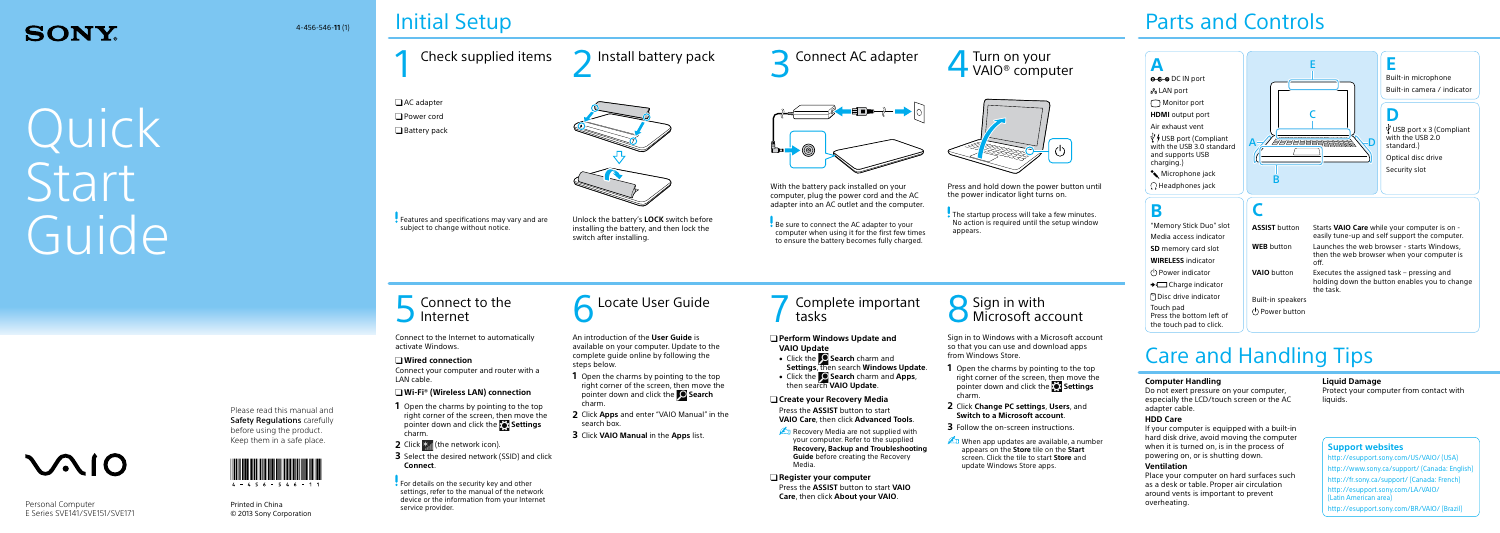### **SONY**

Quick **Start** Guide

# $\mathcal{M}$ 10

Please read this manual and Safety Regulations carefully before using the product.



### Initial Setup

Printed in China © 2013 Sony Corporation

### Parts and Controls



Be sure to connect the AC adapter to your computer when using it for the first few times to ensure the battery becomes fully charged.



Check supplied items  $\bigcap$  Install battery pack  $\bigcap$  Connect AC adapter □ AC adapter □ Power cord □ Battery pack Unlock the battery's **LOCK** switch before installing the battery, and then lock the switch after installing. **Features and specifications may vary and are** subject to change without notice.

**5** Connect to the

With the battery pack installed on your computer, plug the power cord and the AC adapter into an AC outlet and the computer.

4-456-546-**11** (1)

For details on the security key and other settings, refer to the manual of the network device or the information from your Internet service provider.

Connect to the **6** Locate User Guide **19 Complete important** tasks

Personal Computer E Series SVE141/SVE151/SVE171 Connect to the Internet to automatically activate Windows.

### **Wired connection**

Connect your computer and router with a LAN cable.

### **Wi-Fi® (Wireless LAN) connection**

Recovery Media are not supplied with your computer. Refer to the supplied **Recovery, Backup and Troubleshooting Guide** before creating the Recovery Media.

- **1** Open the charms by pointing to the top right corner of the screen, then move the pointer down and click the **Settings** charm.
- **2** Click  $*$  (the network icon).
- **3** Select the desired network (SSID) and click **Connect**.

The startup process will take a few minutes. No action is required until the setup window appears.

### Complete important  $\sum_{k=1}^{\infty}$  Sign in with

Sign in to Windows with a Microsoft account so that you can use and download apps from Windows Store.

- **1** Open the charms by pointing to the top right corner of the screen, then move the pointer down and click the **Settings** charm.
- **2** Click **Change PC settings**, **Users**, and **Switch to a Microsoft account**.
- **3** Follow the on-screen instructions.
- $\triangle$  When app updates are available, a number appears on the **Store** tile on the **Start** screen. Click the tile to start **Store** and update Windows Store apps.

(<sup>I</sup>) Power indicator **→** Charge indicator Disc drive indicator

### **Perform Windows Update and VAIO Update**

- 
- 
- 

 Click the **Search** charm and **Settings**, then search **Windows Update**. Click the **Search** charm and **Apps**, then search **VAIO Update**.

### **Create your Recovery Media**

Press the **ASSIST** button to start **VAIO Care**, then click **Advanced Tools**.

#### **Register your computer** Press the **ASSIST** button to start **VAIO Care**, then click **About your VAIO**.

## **O** Microsoft account

An introduction of the **User Guide** is available on your computer. Update to the complete guide online by following the steps below.

- **1** Open the charms by pointing to the top right corner of the screen, then move the pointer down and click the **Search**  charm.
- **2** Click **Apps** and enter "VAIO Manual" in the search box.
- **3** Click **VAIO Manual** in the **Apps** list.

Per

4Turn on your VAIO® computer

Press and hold down the power button until the power indicator light turns on.

### Care and Handling Tips

### **Computer Handling**

Do not exert pressure on your computer, especially the LCD/touch screen or the AC adapter cable.

### **HDD Care**

If your computer is equipped with a built-in hard disk drive, avoid moving the computer when it is turned on, is in the process of powering on, or is shutting down.

### **Ventilation**

Place your computer on hard surfaces such as a desk or table. Proper air circulation around vents is important to prevent overheating.

### **Liquid Damage**

Protect your computer from contact with liquids.

Touch pad

Press the bottom left of the touch pad to click.



**VAIO** button Executes the assigned task – pressing and holding down the button enables you to change the task.

Built-in speakers Power button

### **Support websites**

http://esupport.sony.com/US/VAIO/ (USA) http://www.sony.ca/support/ (Canada: English) http://fr.sony.ca/support/ (Canada: French) http://esupport.sony.com/LA/VAIO/ (Latin American area) http://esupport.sony.com/BR/VAIO/ (Brazil)